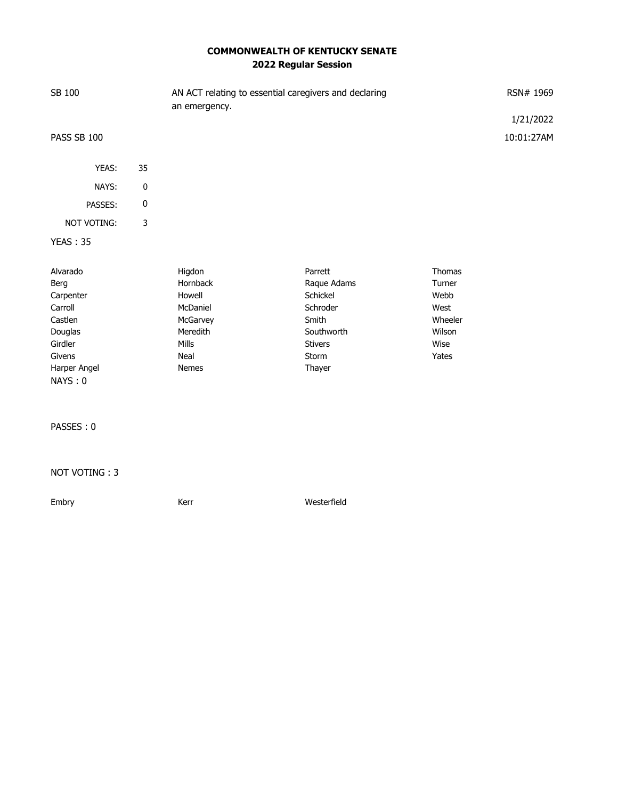## **COMMONWEALTH OF KENTUCKY SENATE 2022 Regular Session**

| SB 100             |           | AN ACT relating to essential caregivers and declaring<br>an emergency. | RSN# 1969      |               |                         |
|--------------------|-----------|------------------------------------------------------------------------|----------------|---------------|-------------------------|
| PASS SB 100        |           |                                                                        |                |               | 1/21/2022<br>10:01:27AM |
| YEAS:              | 35        |                                                                        |                |               |                         |
| NAYS:              | 0         |                                                                        |                |               |                         |
| PASSES:            | $\pmb{0}$ |                                                                        |                |               |                         |
| <b>NOT VOTING:</b> | 3         |                                                                        |                |               |                         |
| <b>YEAS: 35</b>    |           |                                                                        |                |               |                         |
| Alvarado           |           | Higdon                                                                 | Parrett        | <b>Thomas</b> |                         |
| Berg               |           | Hornback                                                               | Raque Adams    | Turner        |                         |
| Carpenter          |           | Howell                                                                 | Schickel       | Webb          |                         |
| Carroll            |           | McDaniel                                                               | Schroder       | West          |                         |
| Castlen            |           | McGarvey                                                               | Smith          | Wheeler       |                         |
| Douglas            |           | Meredith                                                               | Southworth     | Wilson        |                         |
| Girdler            |           | Mills                                                                  | <b>Stivers</b> | Wise          |                         |
| Givens             |           | Neal                                                                   | Storm          | Yates         |                         |
| Harper Angel       |           | Nemes                                                                  | Thayer         |               |                         |
| NAYS: 0            |           |                                                                        |                |               |                         |
| PASSES: 0          |           |                                                                        |                |               |                         |

## NOT VOTING : 3

Embry **Embry** Kerr **Kerr** Westerfield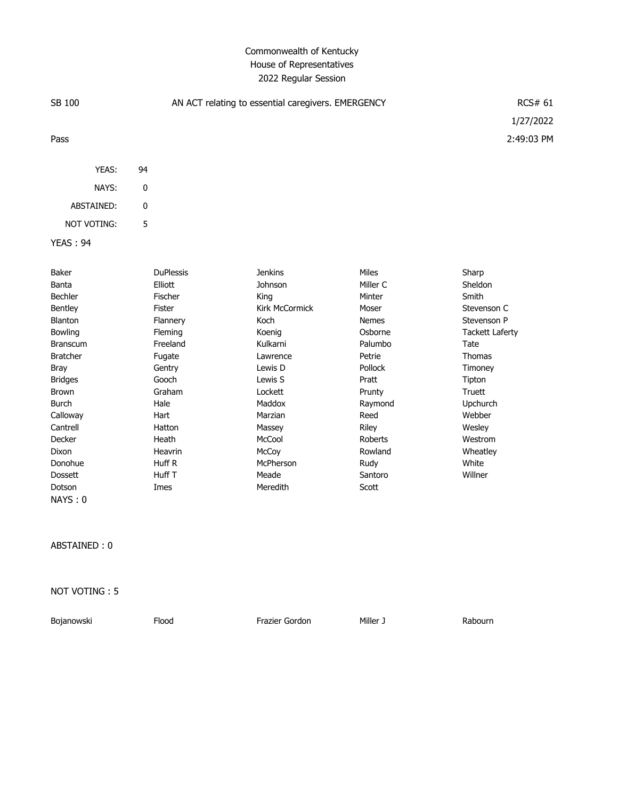## Commonwealth of Kentucky House of Representatives 2022 Regular Session

| SB 100     |    | AN ACT relating to essential caregivers. EMERGENCY | RCS#61     |
|------------|----|----------------------------------------------------|------------|
|            |    |                                                    | 1/27/2022  |
| Pass       |    |                                                    | 2:49:03 PM |
|            |    |                                                    |            |
| YEAS:      | 94 |                                                    |            |
| NAYS:      | 0  |                                                    |            |
| ABSTAINED: | 0  |                                                    |            |

YEAS : 94

NOT VOTING: 5

| Baker           | <b>DuPlessis</b> | <b>Jenkins</b>        | <b>Miles</b> | Sharp                  |
|-----------------|------------------|-----------------------|--------------|------------------------|
| Banta           | Elliott          | Johnson               | Miller C     | Sheldon                |
| <b>Bechler</b>  | <b>Fischer</b>   | King                  | Minter       | Smith                  |
| <b>Bentley</b>  | Fister           | <b>Kirk McCormick</b> | Moser        | Stevenson C            |
| <b>Blanton</b>  | Flannery         | Koch                  | <b>Nemes</b> | Stevenson P            |
| <b>Bowling</b>  | Fleming          | Koenig                | Osborne      | <b>Tackett Laferty</b> |
| <b>Branscum</b> | Freeland         | Kulkarni              | Palumbo      | Tate                   |
| <b>Bratcher</b> | Fugate           | Lawrence              | Petrie       | Thomas                 |
| <b>Bray</b>     | Gentry           | Lewis D               | Pollock      | Timoney                |
| <b>Bridges</b>  | Gooch            | Lewis S               | Pratt        | Tipton                 |
| <b>Brown</b>    | Graham           | Lockett               | Prunty       | Truett                 |
| Burch           | Hale             | Maddox                | Raymond      | Upchurch               |
| Calloway        | Hart             | Marzian               | Reed         | Webber                 |
| Cantrell        | Hatton           | Massey                | Riley        | Wesley                 |
| Decker          | Heath            | McCool                | Roberts      | Westrom                |
| Dixon           | Heavrin          | McCoy                 | Rowland      | Wheatley               |
| Donohue         | Huff R           | McPherson             | Rudy         | White                  |
| <b>Dossett</b>  | Huff T           | Meade                 | Santoro      | Willner                |
| Dotson          | Imes             | Meredith              | Scott        |                        |
| NAYS:0          |                  |                       |              |                        |

ABSTAINED : 0

NOT VOTING : 5

Bojanowski Flood Frazier Gordon Miller J Rabourn